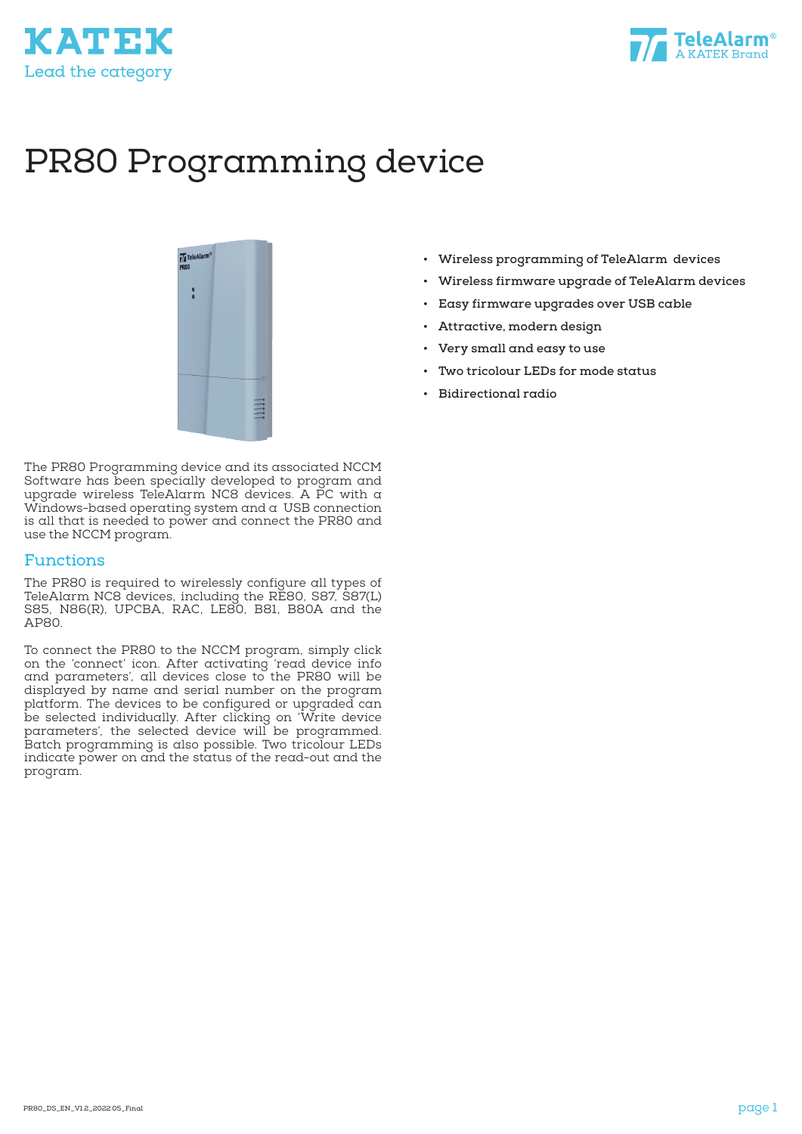



# PR80 Programming device



The PR80 Programming device and its associated NCCM Software has been specially developed to program and upgrade wireless TeleAlarm NC8 devices. A PC with a Windows-based operating system and a USB connection is all that is needed to power and connect the PR80 and use the NCCM program.

#### Functions

The PR80 is required to wirelessly configure all types of TeleAlarm NC8 devices, including the RE80, S87, S87(L) S85, N86(R), UPCBA, RAC, LE80, B81, B80A and the AP80.

To connect the PR80 to the NCCM program, simply click on the 'connect' icon. After activating 'read device info and parameters', all devices close to the PR80 will be displayed by name and serial number on the program platform. The devices to be configured or upgraded can be selected individually. After clicking on 'Write device parameters', the selected device will be programmed. Batch programming is also possible. Two tricolour LEDs indicate power on and the status of the read-out and the program.

- **• Wireless programming of TeleAlarm devices**
- **• Wireless firmware upgrade of TeleAlarm devices**
- **• Easy firmware upgrades over USB cable**
- **• Attractive, modern design**
- **• Very small and easy to use**
- **• Two tricolour LEDs for mode status**
- **• Bidirectional radio**